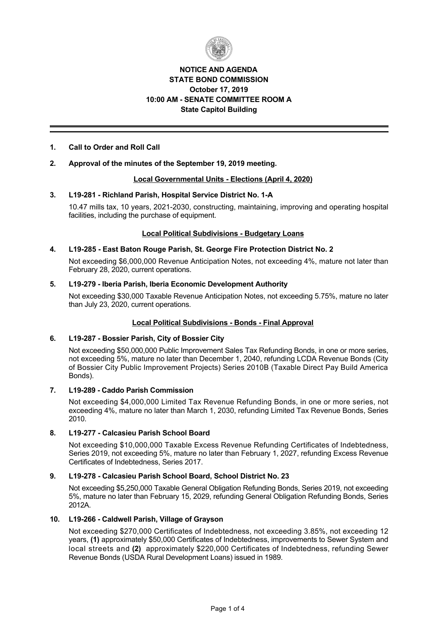

# **NOTICE AND AGENDA STATE BOND COMMISSION October 17, 2019 10:00 AM SENATE COMMITTEE ROOM A State Capitol Building**

# **1. Call to Order and Roll Call**

# **2. Approval of the minutes of the September 19, 2019 meeting.**

## **Local Governmental Units Elections (April 4, 2020)**

## **3. L19281 Richland Parish, Hospital Service District No. 1A**

10.47 mills tax, 10 years, 20212030, constructing, maintaining, improving and operating hospital facilities, including the purchase of equipment.

## **Local Political Subdivisions - Budgetary Loans**

## **4. L19285 East Baton Rouge Parish, St. George Fire Protection District No. 2**

Not exceeding \$6,000,000 Revenue Anticipation Notes, not exceeding 4%, mature not later than February 28, 2020, current operations.

## **5. L19279 Iberia Parish, Iberia Economic Development Authority**

Not exceeding \$30,000 Taxable Revenue Anticipation Notes, not exceeding 5.75%, mature no later than July 23, 2020, current operations.

# **Local Political Subdivisions - Bonds - Final Approval**

#### **6. L19287 Bossier Parish, City of Bossier City**

Not exceeding \$50,000,000 Public Improvement Sales Tax Refunding Bonds, in one or more series, not exceeding 5%, mature no later than December 1, 2040, refunding LCDA Revenue Bonds (City of Bossier City Public Improvement Projects) Series 2010B (Taxable Direct Pay Build America Bonds).

#### **7. L19289 Caddo Parish Commission**

Not exceeding \$4,000,000 Limited Tax Revenue Refunding Bonds, in one or more series, not exceeding 4%, mature no later than March 1, 2030, refunding Limited Tax Revenue Bonds, Series 2010.

# **8. L19277 Calcasieu Parish School Board**

Not exceeding \$10,000,000 Taxable Excess Revenue Refunding Certificates of Indebtedness, Series 2019, not exceeding 5%, mature no later than February 1, 2027, refunding Excess Revenue Certificates of Indebtedness, Series 2017.

# **9. L19278 Calcasieu Parish School Board, School District No. 23**

Not exceeding \$5,250,000 Taxable General Obligation Refunding Bonds, Series 2019, not exceeding 5%, mature no later than February 15, 2029, refunding General Obligation Refunding Bonds, Series 2012A.

#### **10. L19266 Caldwell Parish, Village of Grayson**

Not exceeding \$270,000 Certificates of Indebtedness, not exceeding 3.85%, not exceeding 12 years, **(1)** approximately \$50,000 Certificates of Indebtedness, improvements to Sewer System and local streets and **(2)** approximately \$220,000 Certificates of Indebtedness, refunding Sewer Revenue Bonds (USDA Rural Development Loans) issued in 1989.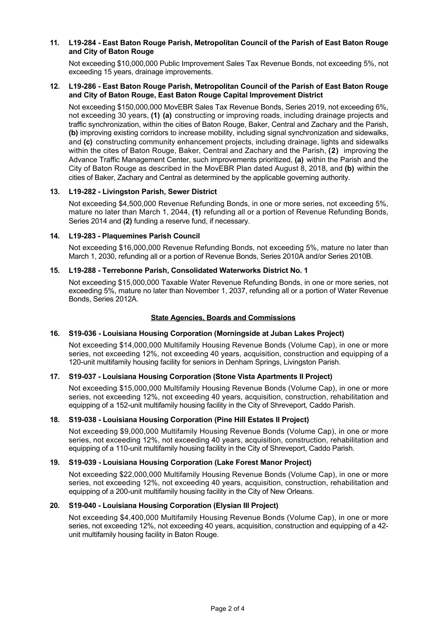# **11. L19284 East Baton Rouge Parish, Metropolitan Council of the Parish of East Baton Rouge and City of Baton Rouge**

Not exceeding \$10,000,000 Public Improvement Sales Tax Revenue Bonds, not exceeding 5%, not exceeding 15 years, drainage improvements.

## **12. L19286 East Baton Rouge Parish, Metropolitan Council of the Parish of East Baton Rouge and City of Baton Rouge, East Baton Rouge Capital Improvement District**

Not exceeding \$150,000,000 MovEBR Sales Tax Revenue Bonds, Series 2019, not exceeding 6%, not exceeding 30 years, **(1) (a)** constructing or improving roads, including drainage projects and traffic synchronization, within the cities of Baton Rouge, Baker, Central and Zachary and the Parish, **(b)** improving existing corridors to increase mobility, including signal synchronization and sidewalks, and **(c)** constructing community enhancement projects, including drainage, lights and sidewalks within the cites of Baton Rouge, Baker, Central and Zachary and the Parish, **(2)** improving the Advance Traffic Management Center, such improvements prioritized, **(a)** within the Parish and the City of Baton Rouge as described in the MovEBR Plan dated August 8, 2018, and **(b)** within the cities of Baker, Zachary and Central as determined by the applicable governing authority.

## **13. L19282 Livingston Parish, Sewer District**

Not exceeding \$4,500,000 Revenue Refunding Bonds, in one or more series, not exceeding 5%, mature no later than March 1, 2044, **(1)** refunding all or a portion of Revenue Refunding Bonds, Series 2014 and **(2)** funding a reserve fund, if necessary.

## **14. L19283 Plaquemines Parish Council**

Not exceeding \$16,000,000 Revenue Refunding Bonds, not exceeding 5%, mature no later than March 1, 2030, refunding all or a portion of Revenue Bonds, Series 2010A and/or Series 2010B.

# **15. L19288 Terrebonne Parish, Consolidated Waterworks District No. 1**

Not exceeding \$15,000,000 Taxable Water Revenue Refunding Bonds, in one or more series, not exceeding 5%, mature no later than November 1, 2037, refunding all or a portion of Water Revenue Bonds, Series 2012A.

# **State Agencies, Boards and Commissions**

#### **16. S19036 Louisiana Housing Corporation (Morningside at Juban Lakes Project)**

Not exceeding \$14,000,000 Multifamily Housing Revenue Bonds (Volume Cap), in one or more series, not exceeding 12%, not exceeding 40 years, acquisition, construction and equipping of a 120-unit multifamily housing facility for seniors in Denham Springs, Livingston Parish.

# **17. S19037 Louisiana Housing Corporation (Stone Vista Apartments II Project)**

Not exceeding \$15,000,000 Multifamily Housing Revenue Bonds (Volume Cap), in one or more series, not exceeding 12%, not exceeding 40 years, acquisition, construction, rehabilitation and equipping of a 152-unit multifamily housing facility in the City of Shreveport, Caddo Parish.

#### **18. S19038 Louisiana Housing Corporation (Pine Hill Estates II Project)**

Not exceeding \$9,000,000 Multifamily Housing Revenue Bonds (Volume Cap), in one or more series, not exceeding 12%, not exceeding 40 years, acquisition, construction, rehabilitation and equipping of a 110-unit multifamily housing facility in the City of Shreveport, Caddo Parish.

#### **19. S19039 Louisiana Housing Corporation (Lake Forest Manor Project)**

Not exceeding \$22,000,000 Multifamily Housing Revenue Bonds (Volume Cap), in one or more series, not exceeding 12%, not exceeding 40 years, acquisition, construction, rehabilitation and equipping of a 200-unit multifamily housing facility in the City of New Orleans.

## **20. S19040 Louisiana Housing Corporation (Elysian III Project)**

Not exceeding \$4,400,000 Multifamily Housing Revenue Bonds (Volume Cap), in one or more series, not exceeding 12%, not exceeding 40 years, acquisition, construction and equipping of a 42 unit multifamily housing facility in Baton Rouge.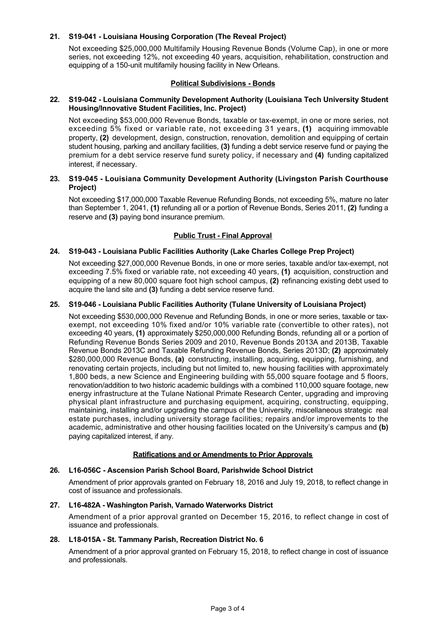# **21. S19041 Louisiana Housing Corporation (The Reveal Project)**

Not exceeding \$25,000,000 Multifamily Housing Revenue Bonds (Volume Cap), in one or more series, not exceeding 12%, not exceeding 40 years, acquisition, rehabilitation, construction and equipping of a 150-unit multifamily housing facility in New Orleans.

# **Political Subdivisions - Bonds**

## **22. S19042 Louisiana Community Development Authority (Louisiana Tech University Student Housing/Innovative Student Facilities, Inc. Project)**

Not exceeding \$53,000,000 Revenue Bonds, taxable or tax-exempt, in one or more series, not exceeding 5% fixed or variable rate, not exceeding 31 years, **(1)** acquiring immovable property, **(2)** development, design, construction, renovation, demolition and equipping of certain student housing, parking and ancillary facilities, **(3)** funding a debt service reserve fund or paying the premium for a debt service reserve fund surety policy, if necessary and **(4)** funding capitalized interest, if necessary.

## **23. S19045 Louisiana Community Development Authority (Livingston Parish Courthouse Project)**

Not exceeding \$17,000,000 Taxable Revenue Refunding Bonds, not exceeding 5%, mature no later than September 1, 2041, **(1)** refunding all or a portion of Revenue Bonds, Series 2011, **(2)** funding a reserve and **(3)** paying bond insurance premium.

# **Public Trust - Final Approval**

# **24. S19043 Louisiana Public Facilities Authority (Lake Charles College Prep Project)**

Not exceeding \$27,000,000 Revenue Bonds, in one or more series, taxable and/or tax-exempt, not exceeding 7.5% fixed or variable rate, not exceeding 40 years, **(1)** acquisition, construction and equipping of a new 80,000 square foot high school campus, **(2)** refinancing existing debt used to acquire the land site and **(3)** funding a debt service reserve fund.

## **25. S19046 Louisiana Public Facilities Authority (Tulane University of Louisiana Project)**

Not exceeding \$530,000,000 Revenue and Refunding Bonds, in one or more series, taxable or taxexempt, not exceeding 10% fixed and/or 10% variable rate (convertible to other rates), not exceeding 40 years, **(1)** approximately \$250,000,000 Refunding Bonds, refunding all or a portion of Refunding Revenue Bonds Series 2009 and 2010, Revenue Bonds 2013A and 2013B, Taxable Revenue Bonds 2013C and Taxable Refunding Revenue Bonds, Series 2013D; **(2)** approximately \$280,000,000 Revenue Bonds, **(a)** constructing, installing, acquiring, equipping, furnishing, and renovating certain projects, including but not limited to, new housing facilities with approximately 1,800 beds, a new Science and Engineering building with 55,000 square footage and 5 floors, renovation/addition to two historic academic buildings with a combined 110,000 square footage, new energy infrastructure at the Tulane National Primate Research Center, upgrading and improving physical plant infrastructure and purchasing equipment, acquiring, constructing, equipping, maintaining, installing and/or upgrading the campus of the University, miscellaneous strategic real estate purchases, including university storage facilities; repairs and/or improvements to the academic, administrative and other housing facilities located on the University's campus and **(b)** paying capitalized interest, if any.

#### **Ratifications and or Amendments to Prior Approvals**

# **26. L16056C Ascension Parish School Board, Parishwide School District**

Amendment of prior approvals granted on February 18, 2016 and July 19, 2018, to reflect change in cost of issuance and professionals.

#### **27. L16482A Washington Parish, Varnado Waterworks District**

Amendment of a prior approval granted on December 15, 2016, to reflect change in cost of issuance and professionals.

### 28. L18-015A - St. Tammany Parish, Recreation District No. 6

Amendment of a prior approval granted on February 15, 2018, to reflect change in cost of issuance and professionals.